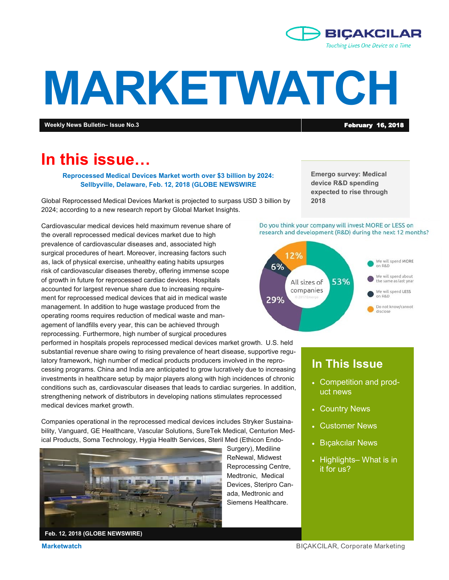

# **MARKETWATCH**

**Weekly News Bulletin– Issue No.3 Contract Contract Contract Contract Contract Contract Contract Contract Contract Contract Contract Contract Contract Contract Contract Contract Contract Contract Contract Contract Contra** 

## **In this issue…**

**Reprocessed Medical Devices Market worth over \$3 billion by 2024: Sellbyville, Delaware, Feb. 12, 2018 (GLOBE NEWSWIRE**

Global Reprocessed Medical Devices Market is projected to surpass USD 3 billion by 2024; according to a new research report by Global Market Insights.

Cardiovascular medical devices held maximum revenue share of the overall reprocessed medical devices market due to high prevalence of cardiovascular diseases and, associated high surgical procedures of heart. Moreover, increasing factors such as, lack of physical exercise, unhealthy eating habits upsurges risk of cardiovascular diseases thereby, offering immense scope of growth in future for reprocessed cardiac devices. Hospitals accounted for largest revenue share due to increasing requirement for reprocessed medical devices that aid in medical waste management. In addition to huge wastage produced from the operating rooms requires reduction of medical waste and management of landfills every year, this can be achieved through reprocessing. Furthermore, high number of surgical procedures

performed in hospitals propels reprocessed medical devices market growth. U.S. held substantial revenue share owing to rising prevalence of heart disease, supportive regulatory framework, high number of medical products producers involved in the reprocessing programs. China and India are anticipated to grow lucratively due to increasing investments in healthcare setup by major players along with high incidences of chronic conditions such as, cardiovascular diseases that leads to cardiac surgeries. In addition, strengthening network of distributors in developing nations stimulates reprocessed medical devices market growth.

Companies operational in the reprocessed medical devices includes Stryker Sustainability, Vanguard, GE Healthcare, Vascular Solutions, SureTek Medical, Centurion Medical Products, Soma Technology, Hygia Health Services, Steril Med (Ethicon Endo-



Surgery), Mediline ReNewal, Midwest Reprocessing Centre, Medtronic, Medical Devices, Steripro Canada, Medtronic and Siemens Healthcare.

**Emergo survey: Medical device R&D spending expected to rise through 2018**

#### Do you think your company will invest MORE or LESS on research and development (R&D) during the next 12 months?



## **In This Issue**

- Competition and product news
- Country News
- Customer News
- Bıçakcılar News
- Highlights– What is in it for us?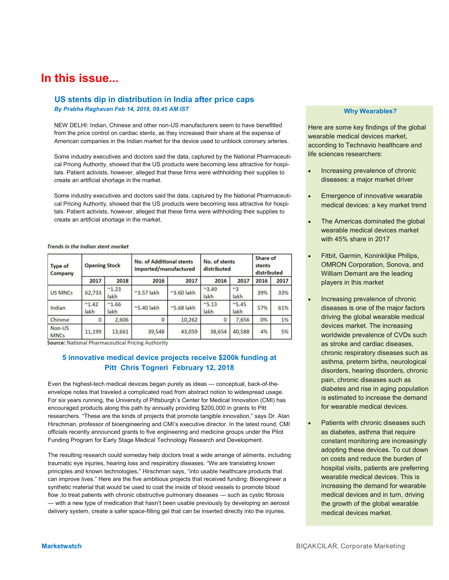## **In this issue...**

## **US stents dip in distribution in India after price caps**

*By Prabha Raghavan Feb 14, 2018, 09.45 AM IST*

NEW DELHI: Indian, Chinese and other non-US manufacturers seem to have benefitted from the price control on cardiac stents, as they increased their share at the expense of American companies in the Indian market for the device used to unblock coronary arteries.

 Some industry executives and doctors said the data, captured by the National Pharmaceutical Pricing Authority, showed that the US products were becoming less attractive for hospitals. Patient activists, however, alleged that these firms were withholding their supplies to create an artificial shortage in the market.

 Some industry executives and doctors said the data, captured by the National Pharmaceutical Pricing Authority, showed that the US products were becoming less attractive for hospitals. Patient activists, however, alleged that these firms were withholding their supplies to create an artificial shortage in the market.

#### Trends in the Indian stent market

| Type of<br>Company    | <b>Opening Stock</b>  |                       | No. of Additional stents<br>imported/manufactured |                     | No. of stents<br>distributed |                 | Share of<br>stents<br>distributed |      |
|-----------------------|-----------------------|-----------------------|---------------------------------------------------|---------------------|------------------------------|-----------------|-----------------------------------|------|
|                       | 2017                  | 2018                  | 2016                                              | 2017                | 2016                         | 2017            | 2016                              | 2017 |
| <b>US MNCs</b>        | 62,733                | $^{\sim}1.23$<br>lakh | $~^{\sim}$ 3.57 lakh                              | $^{\sim}$ 3.60 lakh | ~3.49<br>lakh                | $~^{2}$<br>lakh | 39%                               | 33%  |
| Indian                | $^{\sim}1.42$<br>lakh | $^{\sim}1.66$<br>lakh | $\approx$ 5.40 lakh                               | $~5.68$ lakh        | ~5.13<br>lakh                | ~5.45<br>lakh   | 57%                               | 61%  |
| Chinese               | 0                     | 2,606                 | O                                                 | 10,262              | 0                            | 7,656           | 0%                                | 1%   |
| Non-US<br><b>MNCs</b> | 11,199                | 13,661                | 39,548                                            | 43,059              | 38,654                       | 40,588          | 4%                                | 5%   |

Source: National Pharmaceutical Pricing Authority

#### **5 innovative medical device projects receive \$200k funding at Pitt Chris Togneri February 12, 2018**

Even the highest-tech medical devices began purely as ideas — conceptual, back-of-theenvelope notes that traveled a complicated road from abstract notion to widespread usage. For six years running, the University of Pittsburgh's Center for Medical Innovation (CMI) has encouraged products along this path by annually providing \$200,000 in grants to Pitt researchers. "These are the kinds of projects that promote tangible innovation," says Dr. Alan Hirschman, professor of bioengineering and CMI's executive director. In the latest round, CMI officials recently announced grants to five engineering and medicine groups under the Pilot Funding Program for Early Stage Medical Technology Research and Development.

The resulting research could someday help doctors treat a wide arrange of ailments, including traumatic eye injuries, hearing loss and respiratory diseases. "We are translating known principles and known technologies," Hirschman says, "into usable healthcare products that can improve lives." Here are the five ambitious projects that received funding: Bioengineer a synthetic material that would be used to coat the inside of blood vessels to promote blood flow , to treat patients with chronic obstructive pulmonary diseases — such as cystic fibrosis — with a new type of medication that hasn't been usable previously by developing an aerosol delivery system, create a safer space-filling gel that can be inserted directly into the injuries.

#### **Why Wearables?**

Here are some key findings of the global wearable medical devices market, according to Technavio healthcare and life sciences researchers:

- Increasing prevalence of chronic diseases: a major market driver
- Emergence of innovative wearable medical devices: a key market trend
- The Americas dominated the global wearable medical devices market with 45% share in 2017
- Fitbit, Garmin, Koninklijke Philips, OMRON Corporation, Sonova, and William Demant are the leading players in this market
- Increasing prevalence of chronic diseases is one of the major factors driving the global wearable medical devices market. The increasing worldwide prevalence of CVDs such as stroke and cardiac diseases, chronic respiratory diseases such as asthma, preterm births, neurological disorders, hearing disorders, chronic pain, chronic diseases such as diabetes and rise in aging population is estimated to increase the demand for wearable medical devices.
- Patients with chronic diseases such as diabetes, asthma that require constant monitoring are increasingly adopting these devices. To cut down on costs and reduce the burden of hospital visits, patients are preferring wearable medical devices. This is increasing the demand for wearable medical devices and in turn, driving the growth of the global wearable medical devices market.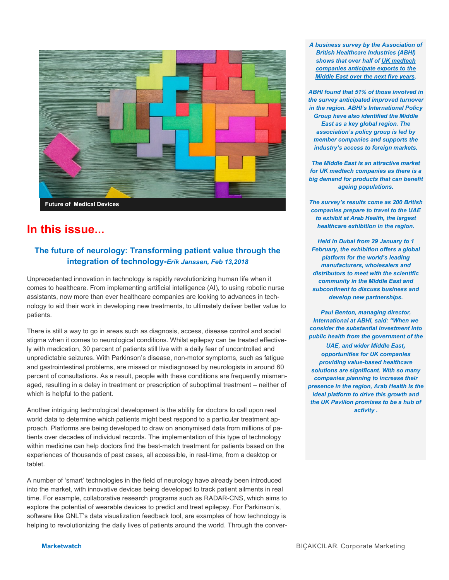

## **In this issue...**

## **The future of neurology: Transforming patient value through the integration of technology-***Erik Janssen, Feb 13,2018*

Unprecedented innovation in technology is rapidly revolutionizing human life when it comes to healthcare. From implementing artificial intelligence (AI), to using robotic nurse assistants, now more than ever healthcare companies are looking to advances in technology to aid their work in developing new treatments, to ultimately deliver better value to patients.

There is still a way to go in areas such as diagnosis, access, disease control and social stigma when it comes to neurological conditions. Whilst epilepsy can be treated effectively with medication, 30 percent of patients still live with a daily fear of uncontrolled and unpredictable seizures. With Parkinson's disease, non-motor symptoms, such as fatigue and gastrointestinal problems, are missed or misdiagnosed by neurologists in around 60 percent of consultations. As a result, people with these conditions are frequently mismanaged, resulting in a delay in treatment or prescription of suboptimal treatment – neither of which is helpful to the patient.

Another intriguing technological development is the ability for doctors to call upon real world data to determine which patients might best respond to a particular treatment approach. Platforms are being developed to draw on anonymised data from millions of patients over decades of individual records. The implementation of this type of technology within medicine can help doctors find the best-match treatment for patients based on the experiences of thousands of past cases, all accessible, in real-time, from a desktop or tablet.

A number of 'smart' technologies in the field of neurology have already been introduced into the market, with innovative devices being developed to track patient ailments in real time. For example, collaborative research programs such as RADAR-CNS, which aims to explore the potential of wearable devices to predict and treat epilepsy. For Parkinson's, software like GNLT's data visualization feedback tool, are examples of how technology is helping to revolutionizing the daily lives of patients around the world. Through the conver*A business survey by the Association of British Healthcare Industries (ABHI) shows that over half of UK medtech companies anticipate exports to the Middle East over the next five years.*

*ABHI found that 51% of those involved in the survey anticipated improved turnover in the region. ABHI's International Policy Group have also identified the Middle East as a key global region. The association's policy group is led by member companies and supports the industry's access to foreign markets.*

*The Middle East is an attractive market for UK medtech companies as there is a big demand for products that can benefit ageing populations.*

*The survey's results come as 200 British companies prepare to travel to the UAE to exhibit at Arab Health, the largest healthcare exhibition in the region.*

*Held in Dubai from 29 January to 1 February, the exhibition offers a global platform for the world's leading manufacturers, wholesalers and distributors to meet with the scientific community in the Middle East and subcontinent to discuss business and develop new partnerships.*

*Paul Benton, managing director, International at ABHI, said: "When we consider the substantial investment into public health from the government of the* 

*UAE, and wider Middle East, opportunities for UK companies providing value-based healthcare solutions are significant. With so many companies planning to increase their presence in the region, Arab Health is the ideal platform to drive this growth and the UK Pavilion promises to be a hub of activity .*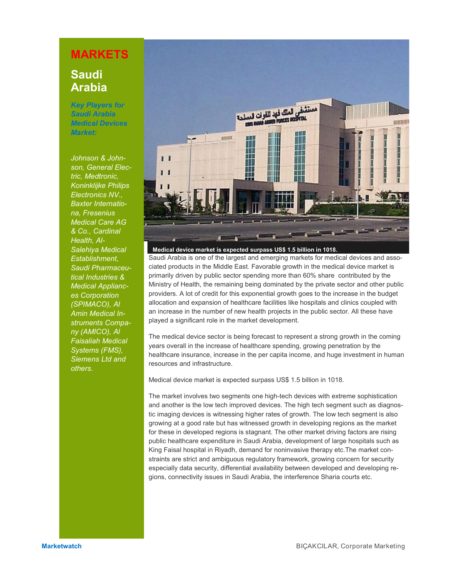## **MARKETS**

## **Saudi Arabia**

*Key Players for Saudi Arabia Medical Devices Market:*

*Johnson & Johnson, General Electric, Medtronic, Koninklijke Philips Electronics NV., Baxter Internationa, Fresenius Medical Care AG & Co., Cardinal Health, Al-Salehiya Medical Establishment, Saudi Pharmaceutical Industries & Medical Appliances Corporation (SPIMACO), Al Amin Medical Instruments Company (AMICO), Al Faisaliah Medical Systems (FMS), Siemens Ltd and others.* 



**Medical device market is expected surpass US\$ 1.5 billion in 1018.**

Saudi Arabia is one of the largest and emerging markets for medical devices and associated products in the Middle East. Favorable growth in the medical device market is primarily driven by public sector spending more than 60% share contributed by the Ministry of Health, the remaining being dominated by the private sector and other public providers. A lot of credit for this exponential growth goes to the increase in the budget allocation and expansion of healthcare facilities like hospitals and clinics coupled with an increase in the number of new health projects in the public sector. All these have played a significant role in the market development.

The medical device sector is being forecast to represent a strong growth in the coming years overall in the increase of healthcare spending, growing penetration by the healthcare insurance, increase in the per capita income, and huge investment in human resources and infrastructure.

Medical device market is expected surpass US\$ 1.5 billion in 1018.

The market involves two segments one high-tech devices with extreme sophistication and another is the low tech improved devices. The high tech segment such as diagnostic imaging devices is witnessing higher rates of growth. The low tech segment is also growing at a good rate but has witnessed growth in developing regions as the market for these in developed regions is stagnant. The other market driving factors are rising public healthcare expenditure in Saudi Arabia, development of large hospitals such as King Faisal hospital in Riyadh, demand for noninvasive therapy etc.The market constraints are strict and ambiguous regulatory framework, growing concern for security especially data security, differential availability between developed and developing regions, connectivity issues in Saudi Arabia, the interference Sharia courts etc.